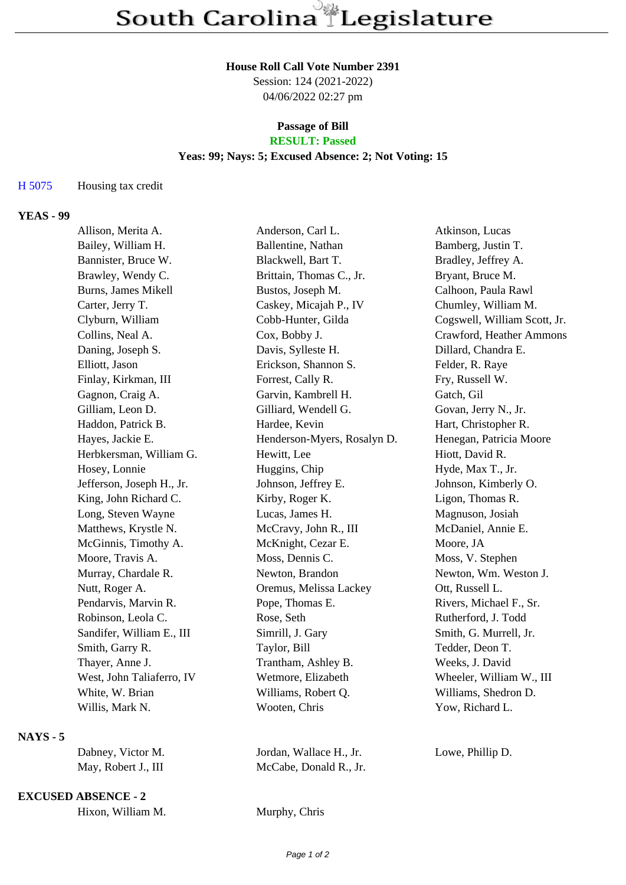# **House Roll Call Vote Number 2391**

Session: 124 (2021-2022) 04/06/2022 02:27 pm

### **Passage of Bill RESULT: Passed**

# **Yeas: 99; Nays: 5; Excused Absence: 2; Not Voting: 15**

# H 5075 Housing tax credit

## **YEAS - 99**

| Allison, Merita A.        | Anderson, Carl L.           | Atkinson, Lucas              |
|---------------------------|-----------------------------|------------------------------|
| Bailey, William H.        | Ballentine, Nathan          | Bamberg, Justin T.           |
| Bannister, Bruce W.       | Blackwell, Bart T.          | Bradley, Jeffrey A.          |
| Brawley, Wendy C.         | Brittain, Thomas C., Jr.    | Bryant, Bruce M.             |
| Burns, James Mikell       | Bustos, Joseph M.           | Calhoon, Paula Rawl          |
| Carter, Jerry T.          | Caskey, Micajah P., IV      | Chumley, William M.          |
| Clyburn, William          | Cobb-Hunter, Gilda          | Cogswell, William Scott, Jr. |
| Collins, Neal A.          | Cox, Bobby J.               | Crawford, Heather Ammons     |
| Daning, Joseph S.         | Davis, Sylleste H.          | Dillard, Chandra E.          |
| Elliott, Jason            | Erickson, Shannon S.        | Felder, R. Raye              |
| Finlay, Kirkman, III      | Forrest, Cally R.           | Fry, Russell W.              |
| Gagnon, Craig A.          | Garvin, Kambrell H.         | Gatch, Gil                   |
| Gilliam, Leon D.          | Gilliard, Wendell G.        | Govan, Jerry N., Jr.         |
| Haddon, Patrick B.        | Hardee, Kevin               | Hart, Christopher R.         |
| Hayes, Jackie E.          | Henderson-Myers, Rosalyn D. | Henegan, Patricia Moore      |
| Herbkersman, William G.   | Hewitt, Lee                 | Hiott, David R.              |
| Hosey, Lonnie             | Huggins, Chip               | Hyde, Max T., Jr.            |
| Jefferson, Joseph H., Jr. | Johnson, Jeffrey E.         | Johnson, Kimberly O.         |
| King, John Richard C.     | Kirby, Roger K.             | Ligon, Thomas R.             |
| Long, Steven Wayne        | Lucas, James H.             | Magnuson, Josiah             |
| Matthews, Krystle N.      | McCravy, John R., III       | McDaniel, Annie E.           |
| McGinnis, Timothy A.      | McKnight, Cezar E.          | Moore, JA                    |
| Moore, Travis A.          | Moss, Dennis C.             | Moss, V. Stephen             |
| Murray, Chardale R.       | Newton, Brandon             | Newton, Wm. Weston J.        |
| Nutt, Roger A.            | Oremus, Melissa Lackey      | Ott, Russell L.              |
| Pendarvis, Marvin R.      | Pope, Thomas E.             | Rivers, Michael F., Sr.      |
| Robinson, Leola C.        | Rose, Seth                  | Rutherford, J. Todd          |
| Sandifer, William E., III | Simrill, J. Gary            | Smith, G. Murrell, Jr.       |
| Smith, Garry R.           | Taylor, Bill                | Tedder, Deon T.              |
| Thayer, Anne J.           | Trantham, Ashley B.         | Weeks, J. David              |
| West, John Taliaferro, IV | Wetmore, Elizabeth          | Wheeler, William W., III     |
| White, W. Brian           | Williams, Robert Q.         | Williams, Shedron D.         |
| Willis, Mark N.           | Wooten, Chris               | Yow, Richard L.              |
|                           |                             |                              |

## **NAYS - 5**

| Dabney, Victor M.   | Jordan, Wallace H., Jr. |
|---------------------|-------------------------|
| May, Robert J., III | McCabe, Donald R., Jr.  |

#### **EXCUSED ABSENCE - 2**

| Hixon, William M. | Murphy, Chris |  |
|-------------------|---------------|--|
|-------------------|---------------|--|

Lowe, Phillip D.